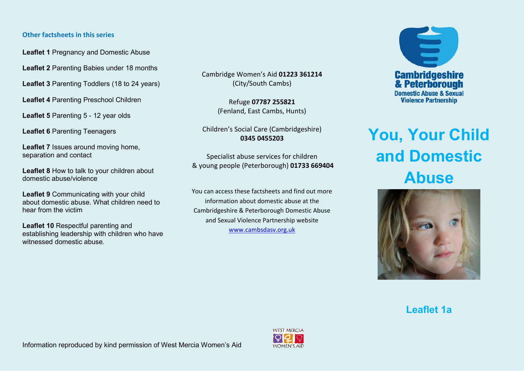# **Other factsheets in this series**

**Leaflet 1** Pregnancy and Domestic Abuse

**Leaflet 2** Parenting Babies under 18 months

**Leaflet 3** Parenting Toddlers (18 to 24 years)

**Leaflet 4** Parenting Preschool Children

**Leaflet 5** Parenting 5 - 12 year olds

**Leaflet 6** Parenting Teenagers

**Leaflet 7** Issues around moving home, separation and contact

**Leaflet 8** How to talk to your children about domestic abuse/violence

**Leaflet 9** Communicating with your child about domestic abuse. What children need to hear from the victim

**Leaflet 10** Respectful parenting and establishing leadership with children who have witnessed domestic abuse.

Cambridge Women's Aid 01223 361214 (City/South Cambs)

> Refuge **07787 255821**  (Fenland, East Cambs, Hunts)

Children's Social Care (Cambridgeshire) **0345 0455203** 

Specialist abuse services for children & young people (Peterborough) **01733 669404** 

You can access these factsheets and find out more information about domestic abuse at the Cambridgeshire & Peterborough Domestic Abuse and Sexual Violence Partnership website

[www.cambsdasv.org.uk](http://www.cambsdasv.org.uk/)



# **You, Your Child and Domestic Abuse**



**Leaflet 1a**